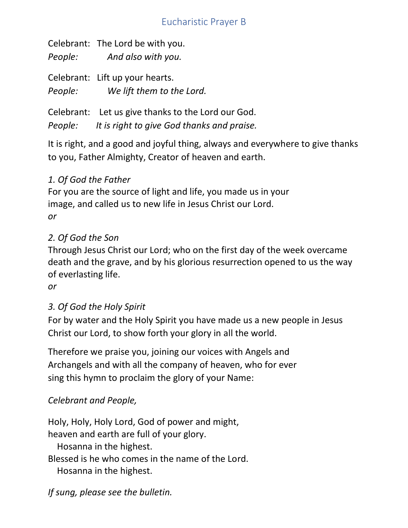# Eucharistic Prayer B

Celebrant: The Lord be with you. *People: And also with you.*

Celebrant: Lift up your hearts. *People: We lift them to the Lord.*

Celebrant: Let us give thanks to the Lord our God. *People: It is right to give God thanks and praise.*

It is right, and a good and joyful thing, always and everywhere to give thanks to you, Father Almighty, Creator of heaven and earth.

# *1. Of God the Father*

For you are the source of light and life, you made us in your image, and called us to new life in Jesus Christ our Lord. *or*

#### *2. Of God the Son*

Through Jesus Christ our Lord; who on the first day of the week overcame death and the grave, and by his glorious resurrection opened to us the way of everlasting life.

*or* 

# *3. Of God the Holy Spirit*

For by water and the Holy Spirit you have made us a new people in Jesus Christ our Lord, to show forth your glory in all the world.

Therefore we praise you, joining our voices with Angels and Archangels and with all the company of heaven, who for ever sing this hymn to proclaim the glory of your Name:

# *Celebrant and People,*

Holy, Holy, Holy Lord, God of power and might, heaven and earth are full of your glory. Hosanna in the highest. Blessed is he who comes in the name of the Lord. Hosanna in the highest.

*If sung, please see the bulletin.*